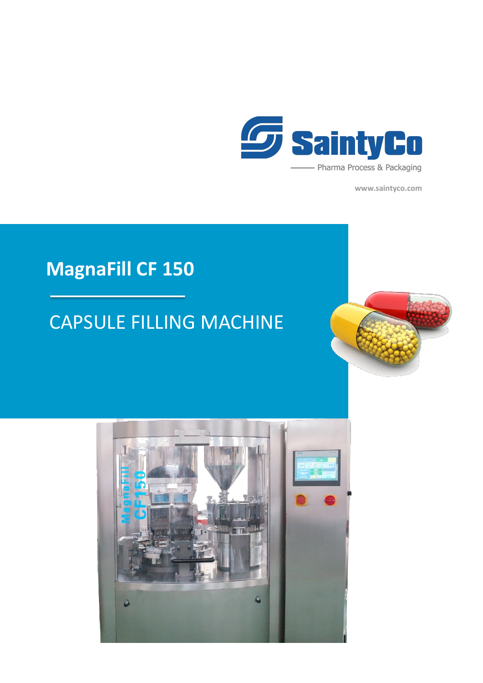

**www.saintyco.com**

## **MagnaFill CF 150**

## CAPSULE FILLING MACHINE



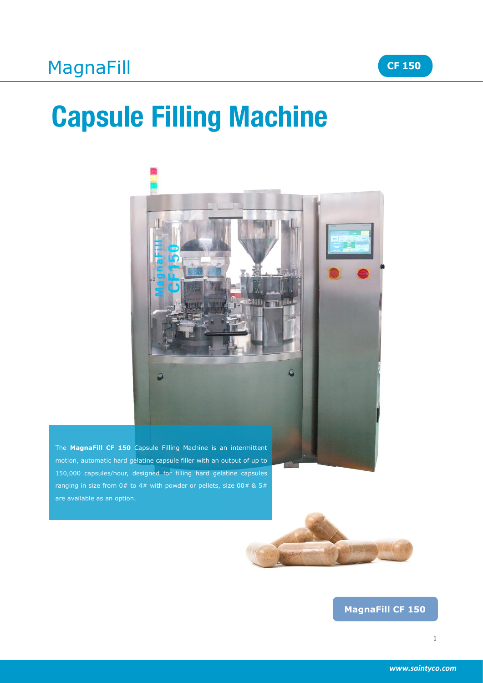# **Capsule Filling Machine**



The **MagnaFill CF 150** Capsule Filling Machine is an intermittent motion, automatic hard gelatine capsule filler with an output of up to 150,000 capsules/hour, designed for filling hard gelatine capsules ranging in size from  $0#$  to  $4#$  with powder or pellets, size  $00#$  &  $5#$ are available as an option.



### **MagnaFill CF 150**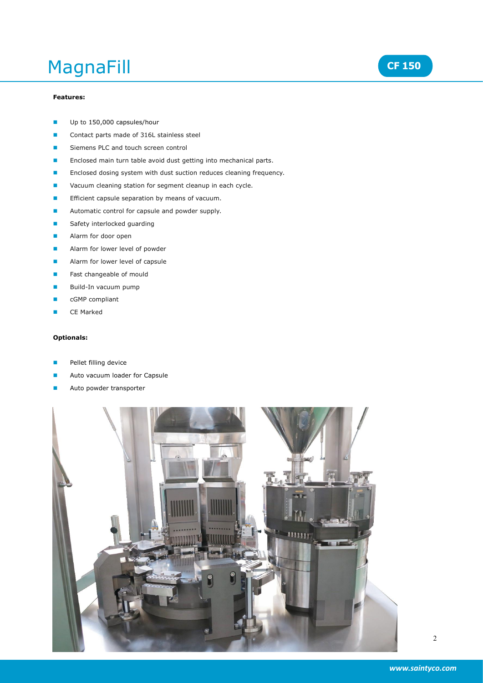## MagnaFill

#### **Features:**

- Up to 150,000 capsules/hour
- Contact parts made of 316L stainless steel
- Siemens PLC and touch screen control
- Enclosed main turn table avoid dust getting into mechanical parts.
- Enclosed dosing system with dust suction reduces cleaning frequency.
- Vacuum cleaning station for segment cleanup in each cycle.
- Efficient capsule separation by means of vacuum.
- **Automatic control for capsule and powder supply.**
- Safety interlocked guarding
- Alarm for door open
- Alarm for lower level of powder
- Alarm for lower level of capsule
- Fast changeable of mould
- Build-In vacuum pump
- cGMP compliant
- CE Marked

#### **Optionals:**

- Pellet filling device
- Auto vacuum loader for Capsule
- Auto powder transporter



2

**CF 150**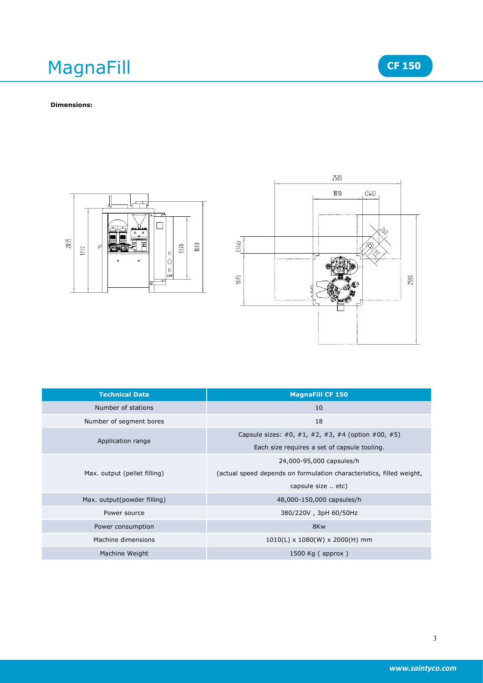# MagnaFill MagnaFill **CF** 150<br>Dimensions:





| <b>Technical Data</b>        | <b>MagnaFill CF 150</b>                                              |
|------------------------------|----------------------------------------------------------------------|
| Number of stations           | 10                                                                   |
| Number of segment bores      | 18                                                                   |
| Application range            | Capsule sizes: #0, #1, #2, #3, #4 (option #00, #5)                   |
|                              | Each size requires a set of capsule tooling.                         |
| Max. output (pellet filling) | 24,000-95,000 capsules/h                                             |
|                              | (actual speed depends on formulation characteristics, filled weight, |
|                              | capsule size  etc)                                                   |
| Max. output(powder filling)  | 48,000-150,000 capsules/h                                            |
| Power source                 | 380/220V, 3pH 60/50Hz                                                |
| Power consumption            | 8Kw                                                                  |
| Machine dimensions           | $1010(L) \times 1080(W) \times 2000(H)$ mm                           |
| Machine Weight               | 1500 Kg $($ approx $)$                                               |